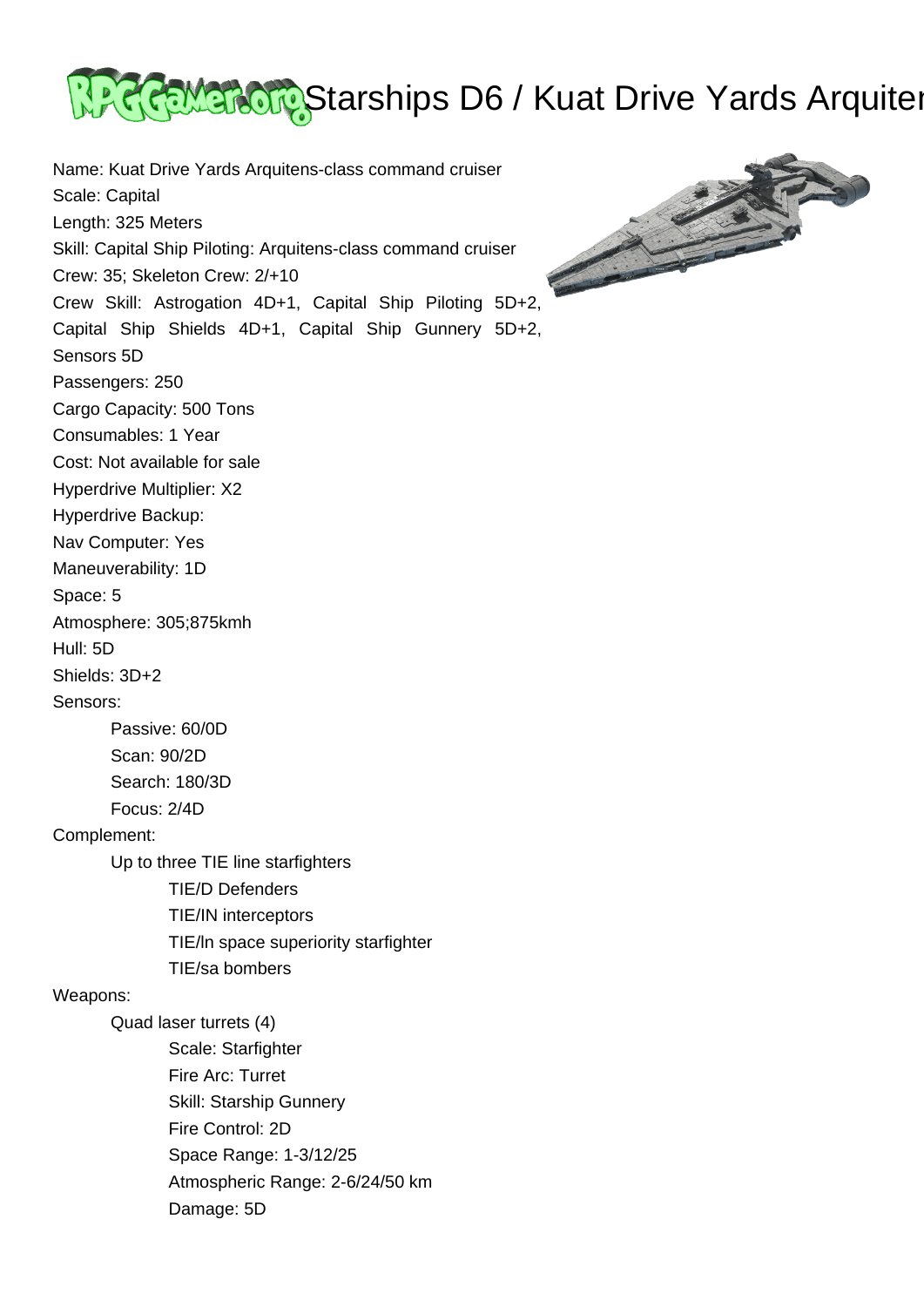

Name: Kuat Drive Yards Arquitens-class command cruiser Scale: Capital Length: 325 Meters Skill: Capital Ship Piloting: Arquitens-class command cruiser Crew: 35; Skeleton Crew: 2/+10 Crew Skill: Astrogation 4D+1, Capital Ship Piloting 5D+2, Capital Ship Shields 4D+1, Capital Ship Gunnery 5D+2, Sensors 5D Passengers: 250 Cargo Capacity: 500 Tons Consumables: 1 Year Cost: Not available for sale Hyperdrive Multiplier: X2 Hyperdrive Backup: Nav Computer: Yes Maneuverability: 1D Space: 5 Atmosphere: 305;875kmh Hull: 5D Shields: 3D+2 Sensors: Passive: 60/0D Scan: 90/2D Search: 180/3D Focus: 2/4D Complement: Up to three TIE line starfighters TIE/D Defenders TIE/IN interceptors TIE/ln space superiority starfighter TIE/sa bombers Weapons: Quad laser turrets (4) Scale: Starfighter Fire Arc: Turret Skill: Starship Gunnery Fire Control: 2D Space Range: 1-3/12/25 Atmospheric Range: 2-6/24/50 km Damage: 5D

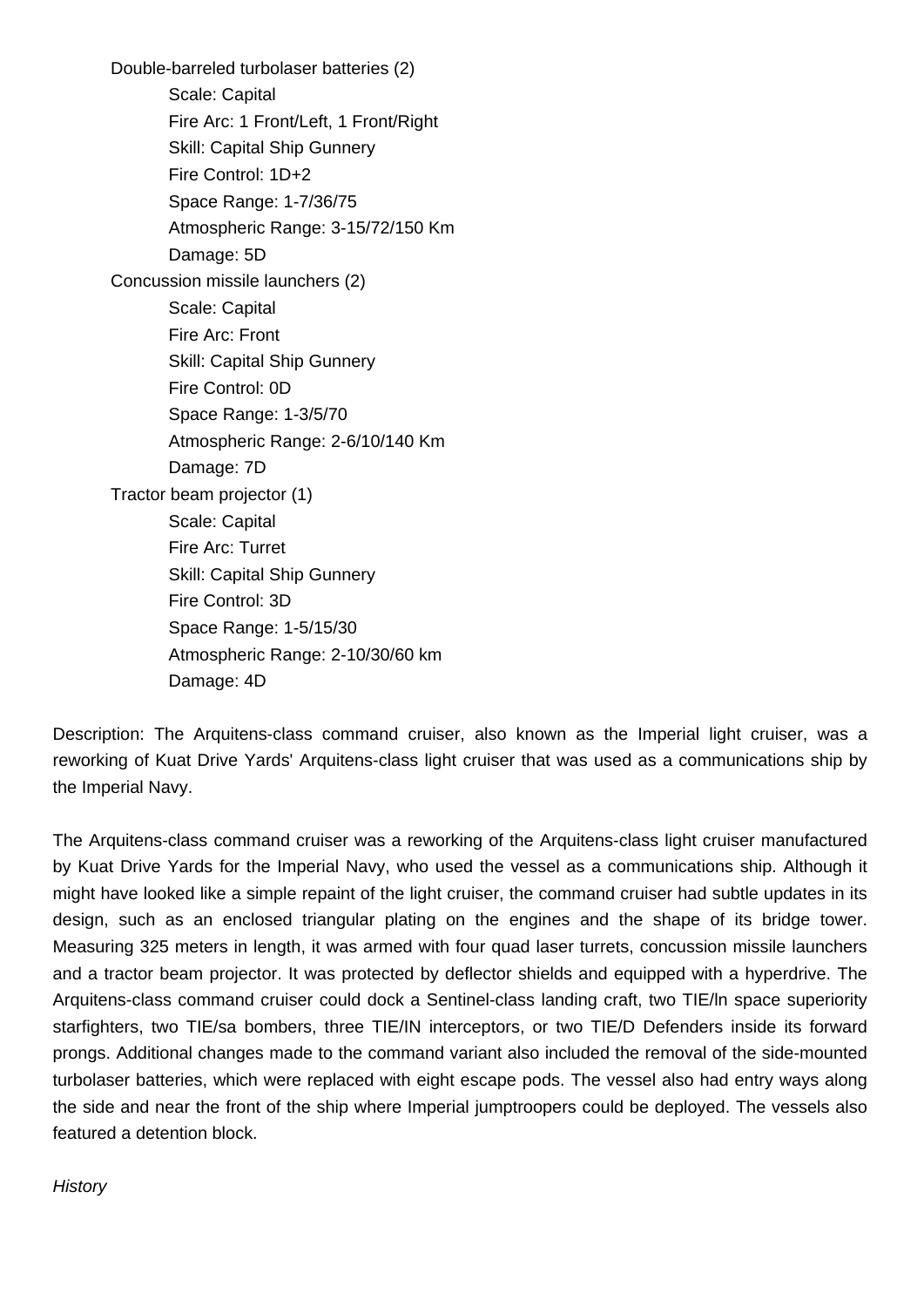Double-barreled turbolaser batteries (2) Scale: Capital Fire Arc: 1 Front/Left, 1 Front/Right Skill: Capital Ship Gunnery Fire Control: 1D+2 Space Range: 1-7/36/75 Atmospheric Range: 3-15/72/150 Km Damage: 5D Concussion missile launchers (2) Scale: Capital Fire Arc: Front Skill: Capital Ship Gunnery Fire Control: 0D Space Range: 1-3/5/70 Atmospheric Range: 2-6/10/140 Km Damage: 7D Tractor beam projector (1) Scale: Capital Fire Arc: Turret Skill: Capital Ship Gunnery Fire Control: 3D Space Range: 1-5/15/30 Atmospheric Range: 2-10/30/60 km Damage: 4D

Description: The Arquitens-class command cruiser, also known as the Imperial light cruiser, was a reworking of Kuat Drive Yards' Arquitens-class light cruiser that was used as a communications ship by the Imperial Navy.

The Arquitens-class command cruiser was a reworking of the Arquitens-class light cruiser manufactured by Kuat Drive Yards for the Imperial Navy, who used the vessel as a communications ship. Although it might have looked like a simple repaint of the light cruiser, the command cruiser had subtle updates in its design, such as an enclosed triangular plating on the engines and the shape of its bridge tower. Measuring 325 meters in length, it was armed with four quad laser turrets, concussion missile launchers and a tractor beam projector. It was protected by deflector shields and equipped with a hyperdrive. The Arquitens-class command cruiser could dock a Sentinel-class landing craft, two TIE/ln space superiority starfighters, two TIE/sa bombers, three TIE/IN interceptors, or two TIE/D Defenders inside its forward prongs. Additional changes made to the command variant also included the removal of the side-mounted turbolaser batteries, which were replaced with eight escape pods. The vessel also had entry ways along the side and near the front of the ship where Imperial jumptroopers could be deployed. The vessels also featured a detention block.

**History**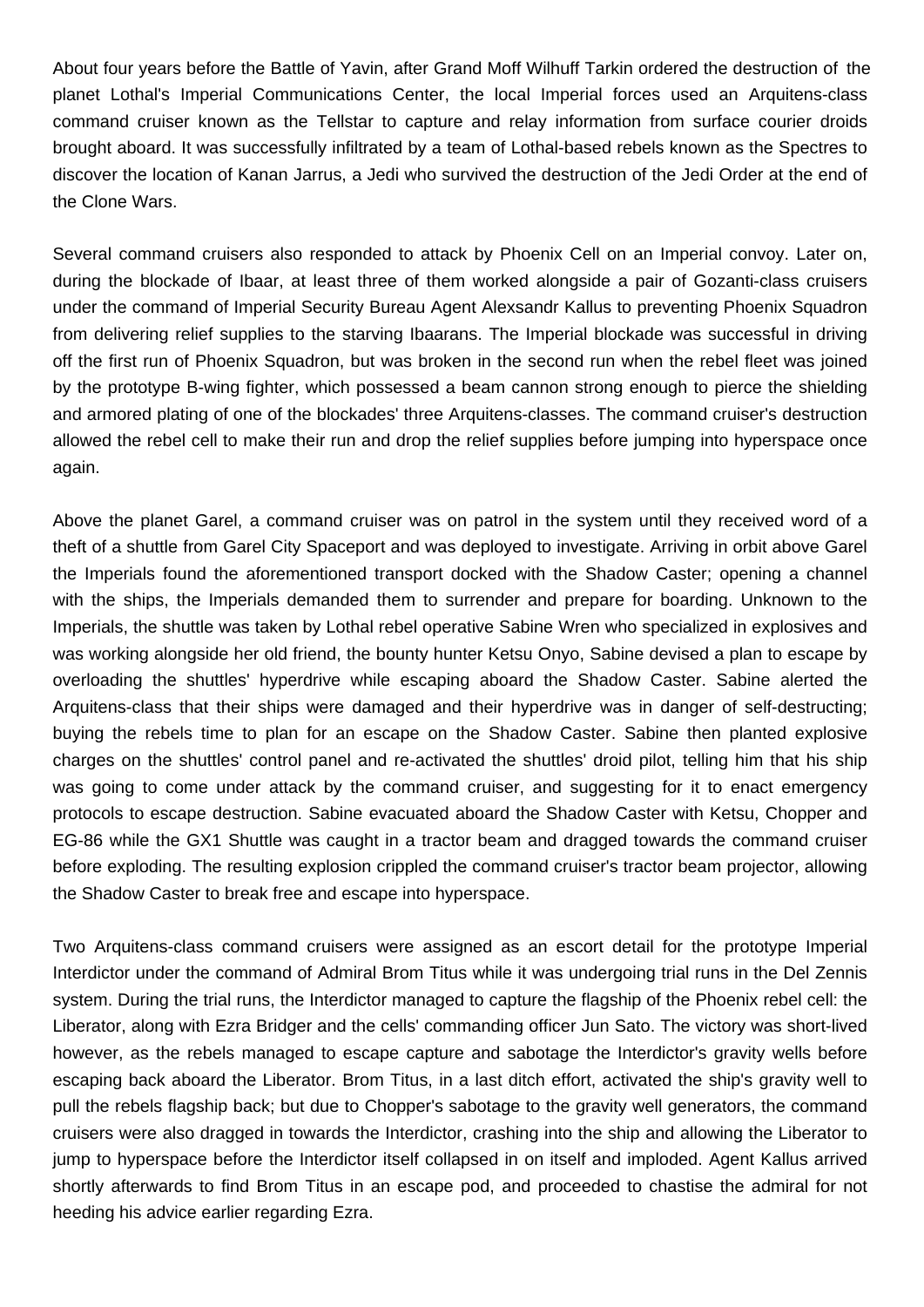About four years before the Battle of Yavin, after Grand Moff Wilhuff Tarkin ordered the destruction of the planet Lothal's Imperial Communications Center, the local Imperial forces used an Arquitens-class command cruiser known as the Tellstar to capture and relay information from surface courier droids brought aboard. It was successfully infiltrated by a team of Lothal-based rebels known as the Spectres to discover the location of Kanan Jarrus, a Jedi who survived the destruction of the Jedi Order at the end of the Clone Wars.

Several command cruisers also responded to attack by Phoenix Cell on an Imperial convoy. Later on, during the blockade of Ibaar, at least three of them worked alongside a pair of Gozanti-class cruisers under the command of Imperial Security Bureau Agent Alexsandr Kallus to preventing Phoenix Squadron from delivering relief supplies to the starving Ibaarans. The Imperial blockade was successful in driving off the first run of Phoenix Squadron, but was broken in the second run when the rebel fleet was joined by the prototype B-wing fighter, which possessed a beam cannon strong enough to pierce the shielding and armored plating of one of the blockades' three Arquitens-classes. The command cruiser's destruction allowed the rebel cell to make their run and drop the relief supplies before jumping into hyperspace once again.

Above the planet Garel, a command cruiser was on patrol in the system until they received word of a theft of a shuttle from Garel City Spaceport and was deployed to investigate. Arriving in orbit above Garel the Imperials found the aforementioned transport docked with the Shadow Caster; opening a channel with the ships, the Imperials demanded them to surrender and prepare for boarding. Unknown to the Imperials, the shuttle was taken by Lothal rebel operative Sabine Wren who specialized in explosives and was working alongside her old friend, the bounty hunter Ketsu Onyo, Sabine devised a plan to escape by overloading the shuttles' hyperdrive while escaping aboard the Shadow Caster. Sabine alerted the Arquitens-class that their ships were damaged and their hyperdrive was in danger of self-destructing; buying the rebels time to plan for an escape on the Shadow Caster. Sabine then planted explosive charges on the shuttles' control panel and re-activated the shuttles' droid pilot, telling him that his ship was going to come under attack by the command cruiser, and suggesting for it to enact emergency protocols to escape destruction. Sabine evacuated aboard the Shadow Caster with Ketsu, Chopper and EG-86 while the GX1 Shuttle was caught in a tractor beam and dragged towards the command cruiser before exploding. The resulting explosion crippled the command cruiser's tractor beam projector, allowing the Shadow Caster to break free and escape into hyperspace.

Two Arquitens-class command cruisers were assigned as an escort detail for the prototype Imperial Interdictor under the command of Admiral Brom Titus while it was undergoing trial runs in the Del Zennis system. During the trial runs, the Interdictor managed to capture the flagship of the Phoenix rebel cell: the Liberator, along with Ezra Bridger and the cells' commanding officer Jun Sato. The victory was short-lived however, as the rebels managed to escape capture and sabotage the Interdictor's gravity wells before escaping back aboard the Liberator. Brom Titus, in a last ditch effort, activated the ship's gravity well to pull the rebels flagship back; but due to Chopper's sabotage to the gravity well generators, the command cruisers were also dragged in towards the Interdictor, crashing into the ship and allowing the Liberator to jump to hyperspace before the Interdictor itself collapsed in on itself and imploded. Agent Kallus arrived shortly afterwards to find Brom Titus in an escape pod, and proceeded to chastise the admiral for not heeding his advice earlier regarding Ezra.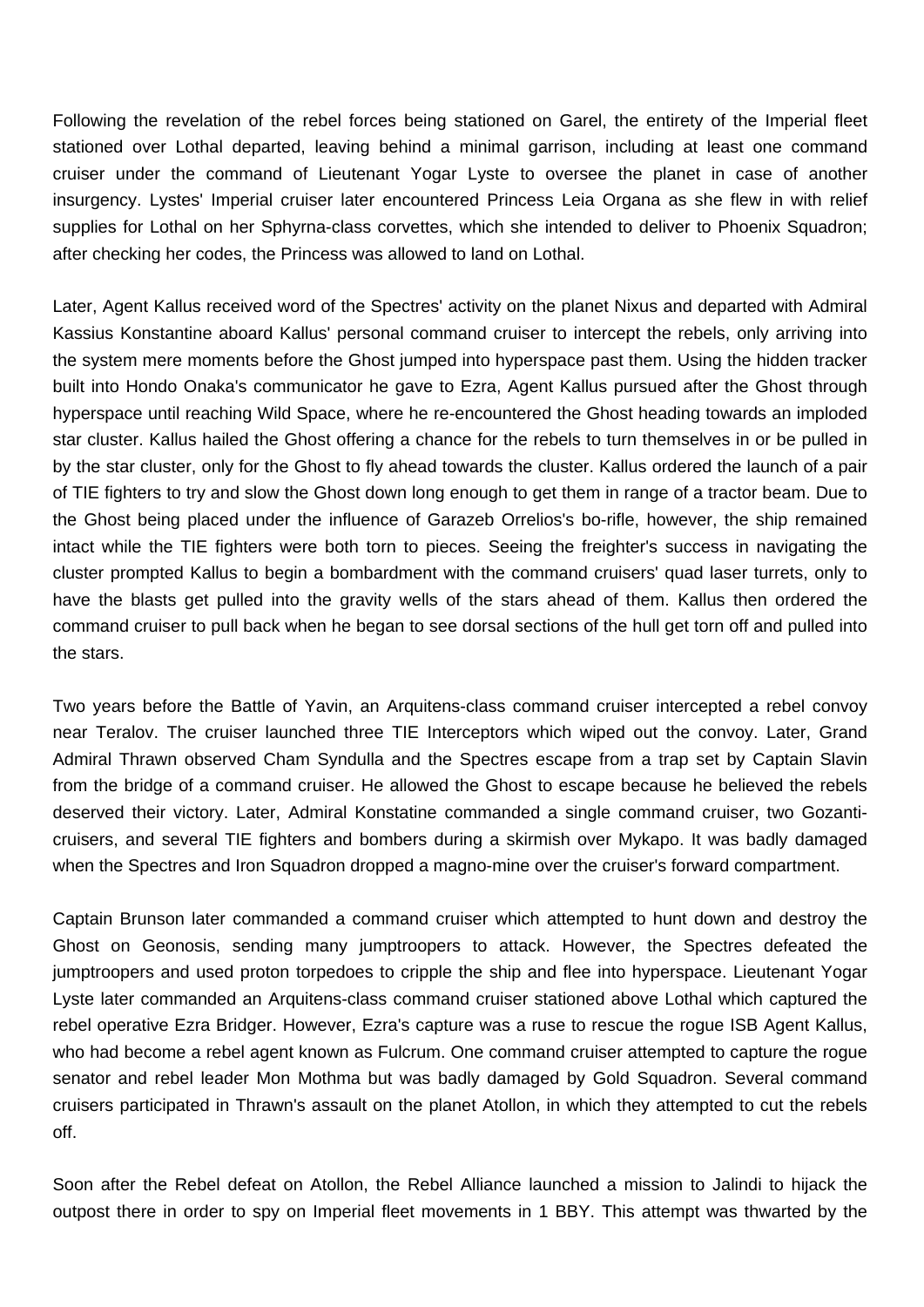Following the revelation of the rebel forces being stationed on Garel, the entirety of the Imperial fleet stationed over Lothal departed, leaving behind a minimal garrison, including at least one command cruiser under the command of Lieutenant Yogar Lyste to oversee the planet in case of another insurgency. Lystes' Imperial cruiser later encountered Princess Leia Organa as she flew in with relief supplies for Lothal on her Sphyrna-class corvettes, which she intended to deliver to Phoenix Squadron; after checking her codes, the Princess was allowed to land on Lothal.

Later, Agent Kallus received word of the Spectres' activity on the planet Nixus and departed with Admiral Kassius Konstantine aboard Kallus' personal command cruiser to intercept the rebels, only arriving into the system mere moments before the Ghost jumped into hyperspace past them. Using the hidden tracker built into Hondo Onaka's communicator he gave to Ezra, Agent Kallus pursued after the Ghost through hyperspace until reaching Wild Space, where he re-encountered the Ghost heading towards an imploded star cluster. Kallus hailed the Ghost offering a chance for the rebels to turn themselves in or be pulled in by the star cluster, only for the Ghost to fly ahead towards the cluster. Kallus ordered the launch of a pair of TIE fighters to try and slow the Ghost down long enough to get them in range of a tractor beam. Due to the Ghost being placed under the influence of Garazeb Orrelios's bo-rifle, however, the ship remained intact while the TIE fighters were both torn to pieces. Seeing the freighter's success in navigating the cluster prompted Kallus to begin a bombardment with the command cruisers' quad laser turrets, only to have the blasts get pulled into the gravity wells of the stars ahead of them. Kallus then ordered the command cruiser to pull back when he began to see dorsal sections of the hull get torn off and pulled into the stars.

Two years before the Battle of Yavin, an Arquitens-class command cruiser intercepted a rebel convoy near Teralov. The cruiser launched three TIE Interceptors which wiped out the convoy. Later, Grand Admiral Thrawn observed Cham Syndulla and the Spectres escape from a trap set by Captain Slavin from the bridge of a command cruiser. He allowed the Ghost to escape because he believed the rebels deserved their victory. Later, Admiral Konstatine commanded a single command cruiser, two Gozanticruisers, and several TIE fighters and bombers during a skirmish over Mykapo. It was badly damaged when the Spectres and Iron Squadron dropped a magno-mine over the cruiser's forward compartment.

Captain Brunson later commanded a command cruiser which attempted to hunt down and destroy the Ghost on Geonosis, sending many jumptroopers to attack. However, the Spectres defeated the jumptroopers and used proton torpedoes to cripple the ship and flee into hyperspace. Lieutenant Yogar Lyste later commanded an Arquitens-class command cruiser stationed above Lothal which captured the rebel operative Ezra Bridger. However, Ezra's capture was a ruse to rescue the rogue ISB Agent Kallus, who had become a rebel agent known as Fulcrum. One command cruiser attempted to capture the rogue senator and rebel leader Mon Mothma but was badly damaged by Gold Squadron. Several command cruisers participated in Thrawn's assault on the planet Atollon, in which they attempted to cut the rebels off.

Soon after the Rebel defeat on Atollon, the Rebel Alliance launched a mission to Jalindi to hijack the outpost there in order to spy on Imperial fleet movements in 1 BBY. This attempt was thwarted by the